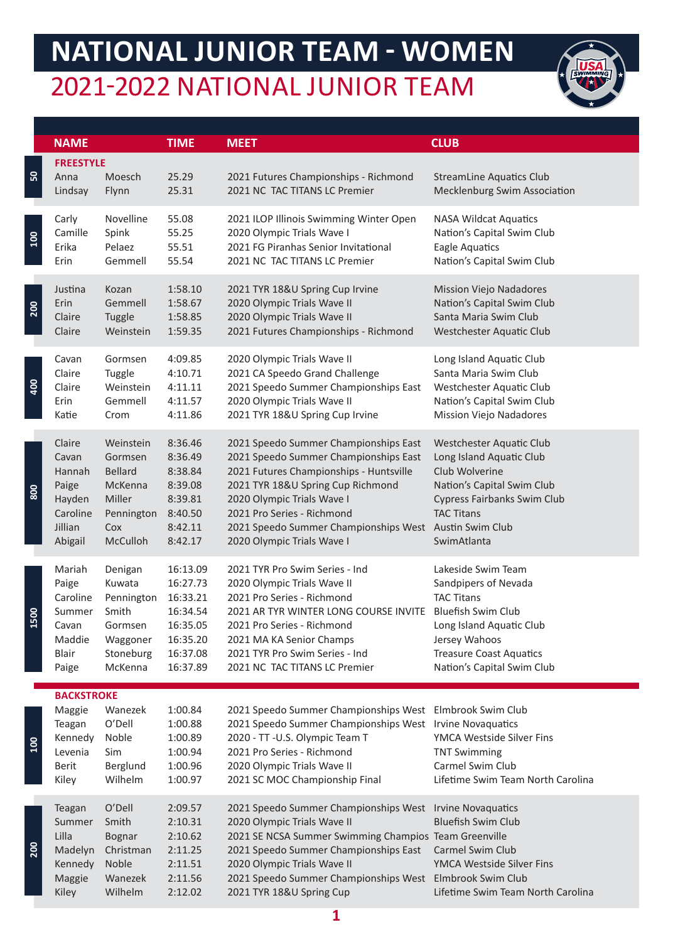## **NATIONAL JUNIOR TEAM - WOMEN** 2021-2022 NATIONAL JUNIOR TEAM



|                  | <b>NAME</b>                                                                          |                                                                              | <b>TIME</b>                                                               | <b>MEET</b>                                                                                                                                                                                                                                                                                   | <b>CLUB</b>                                                                                                                                         |
|------------------|--------------------------------------------------------------------------------------|------------------------------------------------------------------------------|---------------------------------------------------------------------------|-----------------------------------------------------------------------------------------------------------------------------------------------------------------------------------------------------------------------------------------------------------------------------------------------|-----------------------------------------------------------------------------------------------------------------------------------------------------|
| 50               | <b>FREESTYLE</b><br>Anna<br>Lindsay                                                  | Moesch<br>Flynn                                                              | 25.29<br>25.31                                                            | 2021 Futures Championships - Richmond<br>2021 NC TAC TITANS LC Premier                                                                                                                                                                                                                        | <b>StreamLine Aquatics Club</b><br><b>Mecklenburg Swim Association</b>                                                                              |
| $\overline{100}$ | Carly                                                                                | Novelline                                                                    | 55.08                                                                     | 2021 ILOP Illinois Swimming Winter Open                                                                                                                                                                                                                                                       | <b>NASA Wildcat Aquatics</b>                                                                                                                        |
|                  | Camille                                                                              | Spink                                                                        | 55.25                                                                     | 2020 Olympic Trials Wave I                                                                                                                                                                                                                                                                    | Nation's Capital Swim Club                                                                                                                          |
|                  | Erika                                                                                | Pelaez                                                                       | 55.51                                                                     | 2021 FG Piranhas Senior Invitational                                                                                                                                                                                                                                                          | Eagle Aquatics                                                                                                                                      |
|                  | Erin                                                                                 | Gemmell                                                                      | 55.54                                                                     | 2021 NC TAC TITANS LC Premier                                                                                                                                                                                                                                                                 | Nation's Capital Swim Club                                                                                                                          |
| 200              | Justina                                                                              | Kozan                                                                        | 1:58.10                                                                   | 2021 TYR 18&U Spring Cup Irvine                                                                                                                                                                                                                                                               | <b>Mission Viejo Nadadores</b>                                                                                                                      |
|                  | Erin                                                                                 | Gemmell                                                                      | 1:58.67                                                                   | 2020 Olympic Trials Wave II                                                                                                                                                                                                                                                                   | Nation's Capital Swim Club                                                                                                                          |
|                  | Claire                                                                               | Tuggle                                                                       | 1:58.85                                                                   | 2020 Olympic Trials Wave II                                                                                                                                                                                                                                                                   | Santa Maria Swim Club                                                                                                                               |
|                  | Claire                                                                               | Weinstein                                                                    | 1:59.35                                                                   | 2021 Futures Championships - Richmond                                                                                                                                                                                                                                                         | Westchester Aquatic Club                                                                                                                            |
| <b>904</b>       | Cavan                                                                                | Gormsen                                                                      | 4:09.85                                                                   | 2020 Olympic Trials Wave II                                                                                                                                                                                                                                                                   | Long Island Aquatic Club                                                                                                                            |
|                  | Claire                                                                               | Tuggle                                                                       | 4:10.71                                                                   | 2021 CA Speedo Grand Challenge                                                                                                                                                                                                                                                                | Santa Maria Swim Club                                                                                                                               |
|                  | Claire                                                                               | Weinstein                                                                    | 4:11.11                                                                   | 2021 Speedo Summer Championships East                                                                                                                                                                                                                                                         | Westchester Aquatic Club                                                                                                                            |
|                  | Erin                                                                                 | Gemmell                                                                      | 4:11.57                                                                   | 2020 Olympic Trials Wave II                                                                                                                                                                                                                                                                   | Nation's Capital Swim Club                                                                                                                          |
|                  | Katie                                                                                | Crom                                                                         | 4:11.86                                                                   | 2021 TYR 18&U Spring Cup Irvine                                                                                                                                                                                                                                                               | <b>Mission Viejo Nadadores</b>                                                                                                                      |
| 800              | Claire                                                                               | Weinstein                                                                    | 8:36.46                                                                   | 2021 Speedo Summer Championships East                                                                                                                                                                                                                                                         | Westchester Aquatic Club                                                                                                                            |
|                  | Cavan                                                                                | Gormsen                                                                      | 8:36.49                                                                   | 2021 Speedo Summer Championships East                                                                                                                                                                                                                                                         | Long Island Aquatic Club                                                                                                                            |
|                  | Hannah                                                                               | <b>Bellard</b>                                                               | 8:38.84                                                                   | 2021 Futures Championships - Huntsville                                                                                                                                                                                                                                                       | Club Wolverine                                                                                                                                      |
|                  | Paige                                                                                | McKenna                                                                      | 8:39.08                                                                   | 2021 TYR 18&U Spring Cup Richmond                                                                                                                                                                                                                                                             | Nation's Capital Swim Club                                                                                                                          |
|                  | Hayden                                                                               | Miller                                                                       | 8:39.81                                                                   | 2020 Olympic Trials Wave I                                                                                                                                                                                                                                                                    | <b>Cypress Fairbanks Swim Club</b>                                                                                                                  |
|                  | Caroline                                                                             | Pennington                                                                   | 8:40.50                                                                   | 2021 Pro Series - Richmond                                                                                                                                                                                                                                                                    | <b>TAC Titans</b>                                                                                                                                   |
|                  | Jillian                                                                              | Cox                                                                          | 8:42.11                                                                   | 2021 Speedo Summer Championships West                                                                                                                                                                                                                                                         | Austin Swim Club                                                                                                                                    |
|                  | Abigail                                                                              | McCulloh                                                                     | 8:42.17                                                                   | 2020 Olympic Trials Wave I                                                                                                                                                                                                                                                                    | SwimAtlanta                                                                                                                                         |
| 1500             | Mariah                                                                               | Denigan                                                                      | 16:13.09                                                                  | 2021 TYR Pro Swim Series - Ind                                                                                                                                                                                                                                                                | Lakeside Swim Team                                                                                                                                  |
|                  | Paige                                                                                | Kuwata                                                                       | 16:27.73                                                                  | 2020 Olympic Trials Wave II                                                                                                                                                                                                                                                                   | Sandpipers of Nevada                                                                                                                                |
|                  | Caroline                                                                             | Pennington                                                                   | 16:33.21                                                                  | 2021 Pro Series - Richmond                                                                                                                                                                                                                                                                    | <b>TAC Titans</b>                                                                                                                                   |
|                  | Summer                                                                               | Smith                                                                        | 16:34.54                                                                  | 2021 AR TYR WINTER LONG COURSE INVITE                                                                                                                                                                                                                                                         | <b>Bluefish Swim Club</b>                                                                                                                           |
|                  | Cavan                                                                                | Gormsen                                                                      | 16:35.05                                                                  | 2021 Pro Series - Richmond                                                                                                                                                                                                                                                                    | Long Island Aquatic Club                                                                                                                            |
|                  | Maddie                                                                               | Waggoner                                                                     | 16:35.20                                                                  | 2021 MA KA Senior Champs                                                                                                                                                                                                                                                                      | Jersey Wahoos                                                                                                                                       |
|                  | Blair                                                                                | Stoneburg                                                                    | 16:37.08                                                                  | 2021 TYR Pro Swim Series - Ind                                                                                                                                                                                                                                                                | <b>Treasure Coast Aquatics</b>                                                                                                                      |
|                  | Paige                                                                                | McKenna                                                                      | 16:37.89                                                                  | 2021 NC TAC TITANS LC Premier                                                                                                                                                                                                                                                                 | Nation's Capital Swim Club                                                                                                                          |
| $\frac{5}{2}$    | <b>BACKSTROKE</b><br>Maggie<br>Teagan<br>Kennedy<br>Levenia<br><b>Berit</b><br>Kiley | Wanezek<br>O'Dell<br>Noble<br>Sim<br>Berglund<br>Wilhelm                     | 1:00.84<br>1:00.88<br>1:00.89<br>1:00.94<br>1:00.96<br>1:00.97            | 2021 Speedo Summer Championships West<br>2021 Speedo Summer Championships West Irvine Novaquatics<br>2020 - TT -U.S. Olympic Team T<br>2021 Pro Series - Richmond<br>2020 Olympic Trials Wave II<br>2021 SC MOC Championship Final                                                            | Elmbrook Swim Club<br>YMCA Westside Silver Fins<br><b>TNT Swimming</b><br>Carmel Swim Club<br>Lifetime Swim Team North Carolina                     |
| <b>200</b>       | Teagan<br>Summer<br>Lilla<br>Madelyn<br>Kennedy<br>Maggie<br>Kiley                   | O'Dell<br>Smith<br><b>Bognar</b><br>Christman<br>Noble<br>Wanezek<br>Wilhelm | 2:09.57<br>2:10.31<br>2:10.62<br>2:11.25<br>2:11.51<br>2:11.56<br>2:12.02 | 2021 Speedo Summer Championships West Irvine Novaquatics<br>2020 Olympic Trials Wave II<br>2021 SE NCSA Summer Swimming Champios Team Greenville<br>2021 Speedo Summer Championships East<br>2020 Olympic Trials Wave II<br>2021 Speedo Summer Championships West<br>2021 TYR 18&U Spring Cup | <b>Bluefish Swim Club</b><br><b>Carmel Swim Club</b><br>YMCA Westside Silver Fins<br><b>Elmbrook Swim Club</b><br>Lifetime Swim Team North Carolina |